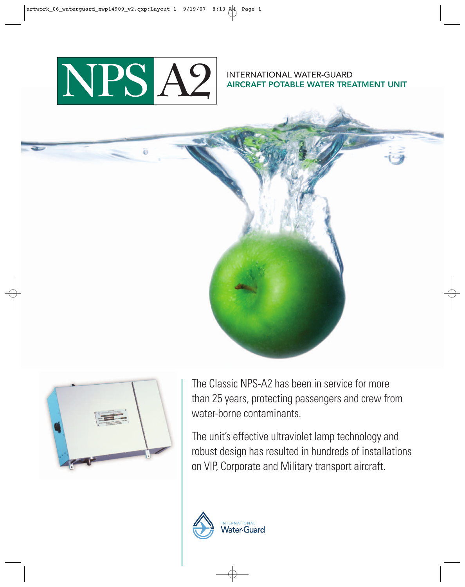

INTERNATIONAL WATER-GUARD AIRCRAFT POTABLE WATER TREATMENT UNIT



The Classic NPS-A2 has been in service for more than 25 years, protecting passengers and crew from water-borne contaminants.

The unit's effective ultraviolet lamp technology and robust design has resulted in hundreds of installations on VIP, Corporate and Military transport aircraft.